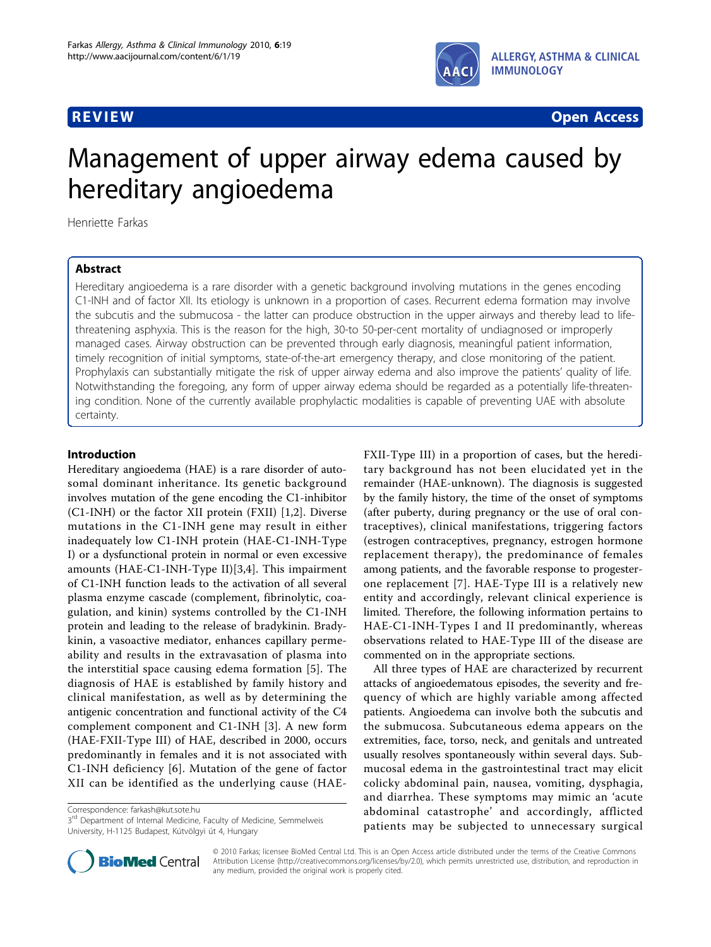

**REVIEW CONSTRUCTION CONSTRUCTION CONSTRUCTS** 

# Management of upper airway edema caused by hereditary angioedema

Henriette Farkas

# Abstract

Hereditary angioedema is a rare disorder with a genetic background involving mutations in the genes encoding C1-INH and of factor XII. Its etiology is unknown in a proportion of cases. Recurrent edema formation may involve the subcutis and the submucosa - the latter can produce obstruction in the upper airways and thereby lead to lifethreatening asphyxia. This is the reason for the high, 30-to 50-per-cent mortality of undiagnosed or improperly managed cases. Airway obstruction can be prevented through early diagnosis, meaningful patient information, timely recognition of initial symptoms, state-of-the-art emergency therapy, and close monitoring of the patient. Prophylaxis can substantially mitigate the risk of upper airway edema and also improve the patients' quality of life. Notwithstanding the foregoing, any form of upper airway edema should be regarded as a potentially life-threatening condition. None of the currently available prophylactic modalities is capable of preventing UAE with absolute certainty.

# Introduction

Hereditary angioedema (HAE) is a rare disorder of autosomal dominant inheritance. Its genetic background involves mutation of the gene encoding the C1-inhibitor (C1-INH) or the factor XII protein (FXII) [[1,2\]](#page-5-0). Diverse mutations in the C1-INH gene may result in either inadequately low C1-INH protein (HAE-C1-INH-Type I) or a dysfunctional protein in normal or even excessive amounts (HAE-C1-INH-Type II)[[3,4](#page-5-0)]. This impairment of C1-INH function leads to the activation of all several plasma enzyme cascade (complement, fibrinolytic, coagulation, and kinin) systems controlled by the C1-INH protein and leading to the release of bradykinin. Bradykinin, a vasoactive mediator, enhances capillary permeability and results in the extravasation of plasma into the interstitial space causing edema formation [[5](#page-5-0)]. The diagnosis of HAE is established by family history and clinical manifestation, as well as by determining the antigenic concentration and functional activity of the C4 complement component and C1-INH [[3\]](#page-5-0). A new form (HAE-FXII-Type III) of HAE, described in 2000, occurs predominantly in females and it is not associated with C1-INH deficiency [\[6](#page-5-0)]. Mutation of the gene of factor XII can be identified as the underlying cause (HAE-

Correspondence: [farkash@kut.sote.hu](mailto:farkash@kut.sote.hu)

3<sup>rd</sup> Department of Internal Medicine, Faculty of Medicine, Semmelweis University, H-1125 Budapest, Kútvölgyi út 4, Hungary

FXII-Type III) in a proportion of cases, but the hereditary background has not been elucidated yet in the remainder (HAE-unknown). The diagnosis is suggested by the family history, the time of the onset of symptoms (after puberty, during pregnancy or the use of oral contraceptives), clinical manifestations, triggering factors (estrogen contraceptives, pregnancy, estrogen hormone replacement therapy), the predominance of females among patients, and the favorable response to progesterone replacement [[7](#page-5-0)]. HAE-Type III is a relatively new entity and accordingly, relevant clinical experience is limited. Therefore, the following information pertains to HAE-C1-INH-Types I and II predominantly, whereas observations related to HAE-Type III of the disease are commented on in the appropriate sections.

All three types of HAE are characterized by recurrent attacks of angioedematous episodes, the severity and frequency of which are highly variable among affected patients. Angioedema can involve both the subcutis and the submucosa. Subcutaneous edema appears on the extremities, face, torso, neck, and genitals and untreated usually resolves spontaneously within several days. Submucosal edema in the gastrointestinal tract may elicit colicky abdominal pain, nausea, vomiting, dysphagia, and diarrhea. These symptoms may mimic an 'acute abdominal catastrophe' and accordingly, afflicted patients may be subjected to unnecessary surgical



© 2010 Farkas; licensee BioMed Central Ltd. This is an Open Access article distributed under the terms of the Creative Commons Attribution License [\(http://creativecommons.org/licenses/by/2.0](http://creativecommons.org/licenses/by/2.0)), which permits unrestricted use, distribution, and reproduction in any medium, provided the original work is properly cited.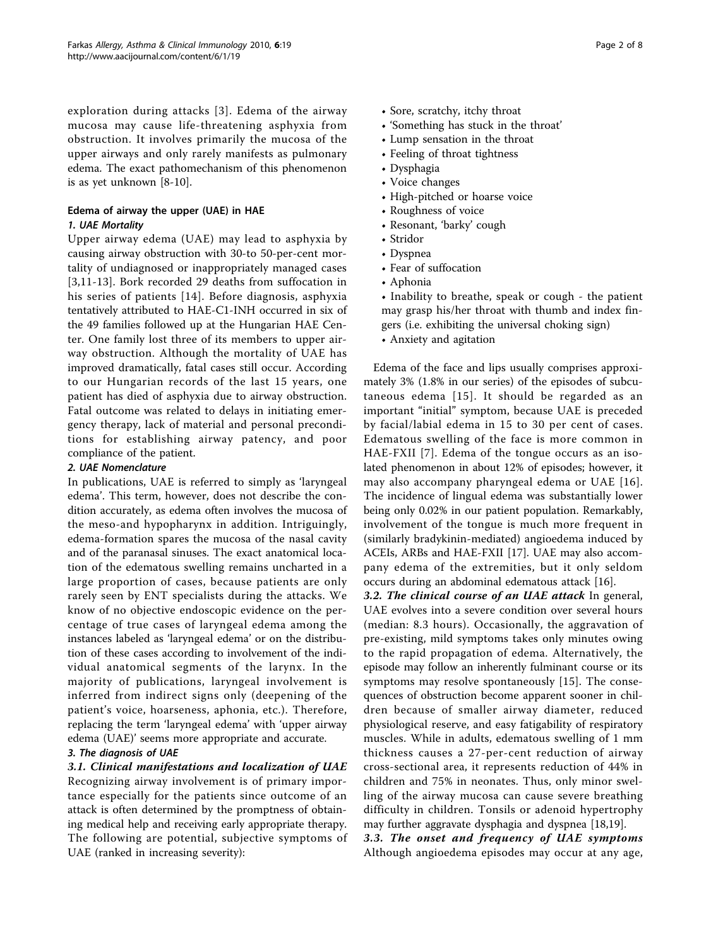exploration during attacks [[3](#page-5-0)]. Edema of the airway mucosa may cause life-threatening asphyxia from obstruction. It involves primarily the mucosa of the upper airways and only rarely manifests as pulmonary edema. The exact pathomechanism of this phenomenon is as yet unknown [\[8](#page-5-0)-[10\]](#page-5-0).

# Edema of airway the upper (UAE) in HAE 1. UAE Mortality

Upper airway edema (UAE) may lead to asphyxia by causing airway obstruction with 30-to 50-per-cent mortality of undiagnosed or inappropriately managed cases [[3,11](#page-5-0)-[13](#page-6-0)]. Bork recorded 29 deaths from suffocation in his series of patients [[14\]](#page-6-0). Before diagnosis, asphyxia tentatively attributed to HAE-C1-INH occurred in six of the 49 families followed up at the Hungarian HAE Center. One family lost three of its members to upper airway obstruction. Although the mortality of UAE has improved dramatically, fatal cases still occur. According to our Hungarian records of the last 15 years, one patient has died of asphyxia due to airway obstruction. Fatal outcome was related to delays in initiating emergency therapy, lack of material and personal preconditions for establishing airway patency, and poor compliance of the patient.

#### 2. UAE Nomenclature

In publications, UAE is referred to simply as 'laryngeal edema'. This term, however, does not describe the condition accurately, as edema often involves the mucosa of the meso-and hypopharynx in addition. Intriguingly, edema-formation spares the mucosa of the nasal cavity and of the paranasal sinuses. The exact anatomical location of the edematous swelling remains uncharted in a large proportion of cases, because patients are only rarely seen by ENT specialists during the attacks. We know of no objective endoscopic evidence on the percentage of true cases of laryngeal edema among the instances labeled as 'laryngeal edema' or on the distribution of these cases according to involvement of the individual anatomical segments of the larynx. In the majority of publications, laryngeal involvement is inferred from indirect signs only (deepening of the patient's voice, hoarseness, aphonia, etc.). Therefore, replacing the term 'laryngeal edema' with 'upper airway edema (UAE)' seems more appropriate and accurate.

# 3. The diagnosis of UAE

3.1. Clinical manifestations and localization of UAE Recognizing airway involvement is of primary importance especially for the patients since outcome of an attack is often determined by the promptness of obtaining medical help and receiving early appropriate therapy. The following are potential, subjective symptoms of UAE (ranked in increasing severity):

- Sore, scratchy, itchy throat
- 'Something has stuck in the throat'
- Lump sensation in the throat
- Feeling of throat tightness
- Dysphagia
- Voice changes
- High-pitched or hoarse voice
- Roughness of voice
- Resonant, 'barky' cough
- Stridor
- Dyspnea
- Fear of suffocation
- Aphonia

• Inability to breathe, speak or cough - the patient may grasp his/her throat with thumb and index fingers (i.e. exhibiting the universal choking sign)

• Anxiety and agitation

Edema of the face and lips usually comprises approximately 3% (1.8% in our series) of the episodes of subcutaneous edema [[15\]](#page-6-0). It should be regarded as an important "initial" symptom, because UAE is preceded by facial/labial edema in 15 to 30 per cent of cases. Edematous swelling of the face is more common in HAE-FXII [[7\]](#page-5-0). Edema of the tongue occurs as an isolated phenomenon in about 12% of episodes; however, it may also accompany pharyngeal edema or UAE [[16\]](#page-6-0). The incidence of lingual edema was substantially lower being only 0.02% in our patient population. Remarkably, involvement of the tongue is much more frequent in (similarly bradykinin-mediated) angioedema induced by ACEIs, ARBs and HAE-FXII [\[17](#page-6-0)]. UAE may also accompany edema of the extremities, but it only seldom occurs during an abdominal edematous attack [\[16\]](#page-6-0).

3.2. The clinical course of an UAE attack In general, UAE evolves into a severe condition over several hours (median: 8.3 hours). Occasionally, the aggravation of pre-existing, mild symptoms takes only minutes owing to the rapid propagation of edema. Alternatively, the episode may follow an inherently fulminant course or its symptoms may resolve spontaneously [[15\]](#page-6-0). The consequences of obstruction become apparent sooner in children because of smaller airway diameter, reduced physiological reserve, and easy fatigability of respiratory muscles. While in adults, edematous swelling of 1 mm thickness causes a 27-per-cent reduction of airway cross-sectional area, it represents reduction of 44% in children and 75% in neonates. Thus, only minor swelling of the airway mucosa can cause severe breathing difficulty in children. Tonsils or adenoid hypertrophy may further aggravate dysphagia and dyspnea [\[18,19\]](#page-6-0).

3.3. The onset and frequency of UAE symptoms Although angioedema episodes may occur at any age,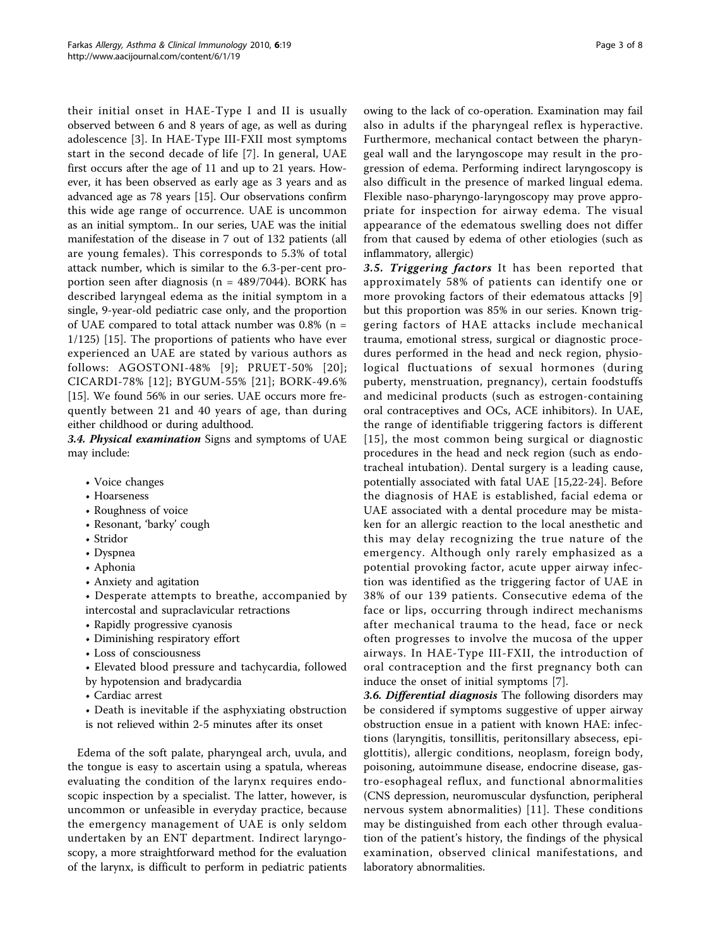their initial onset in HAE-Type I and II is usually observed between 6 and 8 years of age, as well as during adolescence [[3](#page-5-0)]. In HAE-Type III-FXII most symptoms start in the second decade of life [[7\]](#page-5-0). In general, UAE first occurs after the age of 11 and up to 21 years. However, it has been observed as early age as 3 years and as advanced age as 78 years [\[15\]](#page-6-0). Our observations confirm this wide age range of occurrence. UAE is uncommon as an initial symptom.. In our series, UAE was the initial manifestation of the disease in 7 out of 132 patients (all are young females). This corresponds to 5.3% of total attack number, which is similar to the 6.3-per-cent proportion seen after diagnosis ( $n = 489/7044$ ). BORK has described laryngeal edema as the initial symptom in a single, 9-year-old pediatric case only, and the proportion of UAE compared to total attack number was  $0.8\%$  (n = 1/125) [\[15](#page-6-0)]. The proportions of patients who have ever experienced an UAE are stated by various authors as follows: AGOSTONI-48% [[9](#page-5-0)]; PRUET-50% [[20\]](#page-6-0); CICARDI-78% [[12](#page-6-0)]; BYGUM-55% [[21](#page-6-0)]; BORK-49.6% [[15\]](#page-6-0). We found 56% in our series. UAE occurs more frequently between 21 and 40 years of age, than during either childhood or during adulthood.

3.4. Physical examination Signs and symptoms of UAE may include:

- Voice changes
- Hoarseness
- Roughness of voice
- Resonant, 'barky' cough
- Stridor
- Dyspnea
- Aphonia
- Anxiety and agitation
- Desperate attempts to breathe, accompanied by intercostal and supraclavicular retractions
- Rapidly progressive cyanosis
- Diminishing respiratory effort
- Loss of consciousness

• Elevated blood pressure and tachycardia, followed by hypotension and bradycardia

- Cardiac arrest
- Death is inevitable if the asphyxiating obstruction is not relieved within 2-5 minutes after its onset

Edema of the soft palate, pharyngeal arch, uvula, and the tongue is easy to ascertain using a spatula, whereas evaluating the condition of the larynx requires endoscopic inspection by a specialist. The latter, however, is uncommon or unfeasible in everyday practice, because the emergency management of UAE is only seldom undertaken by an ENT department. Indirect laryngoscopy, a more straightforward method for the evaluation of the larynx, is difficult to perform in pediatric patients owing to the lack of co-operation. Examination may fail also in adults if the pharyngeal reflex is hyperactive. Furthermore, mechanical contact between the pharyngeal wall and the laryngoscope may result in the progression of edema. Performing indirect laryngoscopy is also difficult in the presence of marked lingual edema. Flexible naso-pharyngo-laryngoscopy may prove appropriate for inspection for airway edema. The visual appearance of the edematous swelling does not differ from that caused by edema of other etiologies (such as inflammatory, allergic)

3.5. Triggering factors It has been reported that approximately 58% of patients can identify one or more provoking factors of their edematous attacks [\[9](#page-5-0)] but this proportion was 85% in our series. Known triggering factors of HAE attacks include mechanical trauma, emotional stress, surgical or diagnostic procedures performed in the head and neck region, physiological fluctuations of sexual hormones (during puberty, menstruation, pregnancy), certain foodstuffs and medicinal products (such as estrogen-containing oral contraceptives and OCs, ACE inhibitors). In UAE, the range of identifiable triggering factors is different [[15\]](#page-6-0), the most common being surgical or diagnostic procedures in the head and neck region (such as endotracheal intubation). Dental surgery is a leading cause, potentially associated with fatal UAE [[15,22](#page-6-0)-[24\]](#page-6-0). Before the diagnosis of HAE is established, facial edema or UAE associated with a dental procedure may be mistaken for an allergic reaction to the local anesthetic and this may delay recognizing the true nature of the emergency. Although only rarely emphasized as a potential provoking factor, acute upper airway infection was identified as the triggering factor of UAE in 38% of our 139 patients. Consecutive edema of the face or lips, occurring through indirect mechanisms after mechanical trauma to the head, face or neck often progresses to involve the mucosa of the upper airways. In HAE-Type III-FXII, the introduction of oral contraception and the first pregnancy both can induce the onset of initial symptoms [[7\]](#page-5-0).

3.6. Differential diagnosis The following disorders may be considered if symptoms suggestive of upper airway obstruction ensue in a patient with known HAE: infections (laryngitis, tonsillitis, peritonsillary absecess, epiglottitis), allergic conditions, neoplasm, foreign body, poisoning, autoimmune disease, endocrine disease, gastro-esophageal reflux, and functional abnormalities (CNS depression, neuromuscular dysfunction, peripheral nervous system abnormalities) [\[11\]](#page-5-0). These conditions may be distinguished from each other through evaluation of the patient's history, the findings of the physical examination, observed clinical manifestations, and laboratory abnormalities.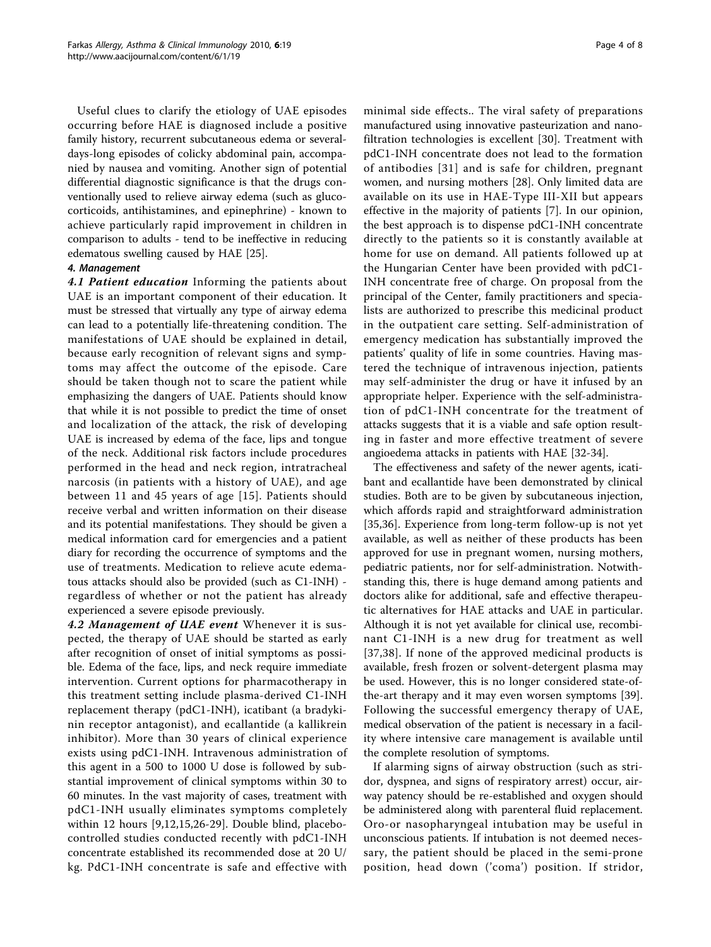Useful clues to clarify the etiology of UAE episodes occurring before HAE is diagnosed include a positive family history, recurrent subcutaneous edema or severaldays-long episodes of colicky abdominal pain, accompanied by nausea and vomiting. Another sign of potential differential diagnostic significance is that the drugs conventionally used to relieve airway edema (such as glucocorticoids, antihistamines, and epinephrine) - known to achieve particularly rapid improvement in children in comparison to adults - tend to be ineffective in reducing edematous swelling caused by HAE [\[25\]](#page-6-0).

#### 4. Management

4.1 Patient education Informing the patients about UAE is an important component of their education. It must be stressed that virtually any type of airway edema can lead to a potentially life-threatening condition. The manifestations of UAE should be explained in detail, because early recognition of relevant signs and symptoms may affect the outcome of the episode. Care should be taken though not to scare the patient while emphasizing the dangers of UAE. Patients should know that while it is not possible to predict the time of onset and localization of the attack, the risk of developing UAE is increased by edema of the face, lips and tongue of the neck. Additional risk factors include procedures performed in the head and neck region, intratracheal narcosis (in patients with a history of UAE), and age between 11 and 45 years of age [[15\]](#page-6-0). Patients should receive verbal and written information on their disease and its potential manifestations. They should be given a medical information card for emergencies and a patient diary for recording the occurrence of symptoms and the use of treatments. Medication to relieve acute edematous attacks should also be provided (such as C1-INH) regardless of whether or not the patient has already experienced a severe episode previously.

4.2 Management of UAE event Whenever it is suspected, the therapy of UAE should be started as early after recognition of onset of initial symptoms as possible. Edema of the face, lips, and neck require immediate intervention. Current options for pharmacotherapy in this treatment setting include plasma-derived C1-INH replacement therapy (pdC1-INH), icatibant (a bradykinin receptor antagonist), and ecallantide (a kallikrein inhibitor). More than 30 years of clinical experience exists using pdC1-INH. Intravenous administration of this agent in a 500 to 1000 U dose is followed by substantial improvement of clinical symptoms within 30 to 60 minutes. In the vast majority of cases, treatment with pdC1-INH usually eliminates symptoms completely within 12 hours [\[9](#page-5-0)[,12,15,26](#page-6-0)-[29\]](#page-6-0). Double blind, placebocontrolled studies conducted recently with pdC1-INH concentrate established its recommended dose at 20 U/ kg. PdC1-INH concentrate is safe and effective with minimal side effects.. The viral safety of preparations manufactured using innovative pasteurization and nanofiltration technologies is excellent [[30\]](#page-6-0). Treatment with pdC1-INH concentrate does not lead to the formation of antibodies [[31\]](#page-6-0) and is safe for children, pregnant women, and nursing mothers [\[28](#page-6-0)]. Only limited data are available on its use in HAE-Type III-XII but appears effective in the majority of patients [\[7](#page-5-0)]. In our opinion, the best approach is to dispense pdC1-INH concentrate directly to the patients so it is constantly available at home for use on demand. All patients followed up at the Hungarian Center have been provided with pdC1- INH concentrate free of charge. On proposal from the principal of the Center, family practitioners and specialists are authorized to prescribe this medicinal product in the outpatient care setting. Self-administration of emergency medication has substantially improved the patients' quality of life in some countries. Having mastered the technique of intravenous injection, patients may self-administer the drug or have it infused by an appropriate helper. Experience with the self-administration of pdC1-INH concentrate for the treatment of attacks suggests that it is a viable and safe option resulting in faster and more effective treatment of severe angioedema attacks in patients with HAE [[32](#page-6-0)-[34\]](#page-6-0).

The effectiveness and safety of the newer agents, icatibant and ecallantide have been demonstrated by clinical studies. Both are to be given by subcutaneous injection, which affords rapid and straightforward administration [[35,36](#page-6-0)]. Experience from long-term follow-up is not yet available, as well as neither of these products has been approved for use in pregnant women, nursing mothers, pediatric patients, nor for self-administration. Notwithstanding this, there is huge demand among patients and doctors alike for additional, safe and effective therapeutic alternatives for HAE attacks and UAE in particular. Although it is not yet available for clinical use, recombinant C1-INH is a new drug for treatment as well [[37](#page-6-0),[38\]](#page-6-0). If none of the approved medicinal products is available, fresh frozen or solvent-detergent plasma may be used. However, this is no longer considered state-ofthe-art therapy and it may even worsen symptoms [\[39](#page-6-0)]. Following the successful emergency therapy of UAE, medical observation of the patient is necessary in a facility where intensive care management is available until the complete resolution of symptoms.

If alarming signs of airway obstruction (such as stridor, dyspnea, and signs of respiratory arrest) occur, airway patency should be re-established and oxygen should be administered along with parenteral fluid replacement. Oro-or nasopharyngeal intubation may be useful in unconscious patients. If intubation is not deemed necessary, the patient should be placed in the semi-prone position, head down ('coma') position. If stridor,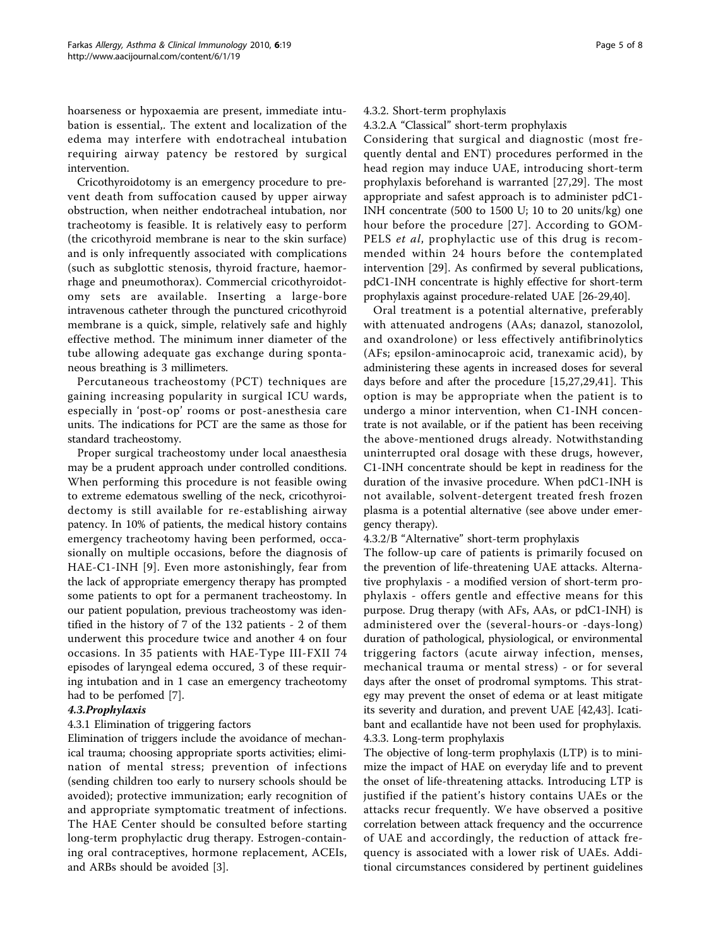hoarseness or hypoxaemia are present, immediate intubation is essential,. The extent and localization of the edema may interfere with endotracheal intubation requiring airway patency be restored by surgical intervention.

Cricothyroidotomy is an emergency procedure to prevent death from suffocation caused by upper airway obstruction, when neither endotracheal intubation, nor tracheotomy is feasible. It is relatively easy to perform (the cricothyroid membrane is near to the skin surface) and is only infrequently associated with complications (such as subglottic stenosis, thyroid fracture, haemorrhage and pneumothorax). Commercial cricothyroidotomy sets are available. Inserting a large-bore intravenous catheter through the punctured cricothyroid membrane is a quick, simple, relatively safe and highly effective method. The minimum inner diameter of the tube allowing adequate gas exchange during spontaneous breathing is 3 millimeters.

Percutaneous tracheostomy (PCT) techniques are gaining increasing popularity in surgical ICU wards, especially in 'post-op' rooms or post-anesthesia care units. The indications for PCT are the same as those for standard tracheostomy.

Proper surgical tracheostomy under local anaesthesia may be a prudent approach under controlled conditions. When performing this procedure is not feasible owing to extreme edematous swelling of the neck, cricothyroidectomy is still available for re-establishing airway patency. In 10% of patients, the medical history contains emergency tracheotomy having been performed, occasionally on multiple occasions, before the diagnosis of HAE-C1-INH [[9](#page-5-0)]. Even more astonishingly, fear from the lack of appropriate emergency therapy has prompted some patients to opt for a permanent tracheostomy. In our patient population, previous tracheostomy was identified in the history of 7 of the 132 patients - 2 of them underwent this procedure twice and another 4 on four occasions. In 35 patients with HAE-Type III-FXII 74 episodes of laryngeal edema occured, 3 of these requiring intubation and in 1 case an emergency tracheotomy had to be perfomed [\[7](#page-5-0)].

# 4.3.Prophylaxis

# 4.3.1 Elimination of triggering factors

Elimination of triggers include the avoidance of mechanical trauma; choosing appropriate sports activities; elimination of mental stress; prevention of infections (sending children too early to nursery schools should be avoided); protective immunization; early recognition of and appropriate symptomatic treatment of infections. The HAE Center should be consulted before starting long-term prophylactic drug therapy. Estrogen-containing oral contraceptives, hormone replacement, ACEIs, and ARBs should be avoided [\[3](#page-5-0)].

### 4.3.2. Short-term prophylaxis

#### 4.3.2.A "Classical" short-term prophylaxis

Considering that surgical and diagnostic (most frequently dental and ENT) procedures performed in the head region may induce UAE, introducing short-term prophylaxis beforehand is warranted [\[27,29\]](#page-6-0). The most appropriate and safest approach is to administer pdC1- INH concentrate (500 to 1500 U; 10 to 20 units/kg) one hour before the procedure [[27](#page-6-0)]. According to GOM-PELS et al, prophylactic use of this drug is recommended within 24 hours before the contemplated intervention [\[29](#page-6-0)]. As confirmed by several publications, pdC1-INH concentrate is highly effective for short-term prophylaxis against procedure-related UAE [[26-29,40\]](#page-6-0).

Oral treatment is a potential alternative, preferably with attenuated androgens (AAs; danazol, stanozolol, and oxandrolone) or less effectively antifibrinolytics (AFs; epsilon-aminocaproic acid, tranexamic acid), by administering these agents in increased doses for several days before and after the procedure [[15,27](#page-6-0),[29,41](#page-6-0)]. This option is may be appropriate when the patient is to undergo a minor intervention, when C1-INH concentrate is not available, or if the patient has been receiving the above-mentioned drugs already. Notwithstanding uninterrupted oral dosage with these drugs, however, C1-INH concentrate should be kept in readiness for the duration of the invasive procedure. When pdC1-INH is not available, solvent-detergent treated fresh frozen plasma is a potential alternative (see above under emergency therapy).

#### 4.3.2/B "Alternative" short-term prophylaxis

The follow-up care of patients is primarily focused on the prevention of life-threatening UAE attacks. Alternative prophylaxis - a modified version of short-term prophylaxis - offers gentle and effective means for this purpose. Drug therapy (with AFs, AAs, or pdC1-INH) is administered over the (several-hours-or -days-long) duration of pathological, physiological, or environmental triggering factors (acute airway infection, menses, mechanical trauma or mental stress) - or for several days after the onset of prodromal symptoms. This strategy may prevent the onset of edema or at least mitigate its severity and duration, and prevent UAE [\[42,43\]](#page-6-0). Icatibant and ecallantide have not been used for prophylaxis. 4.3.3. Long-term prophylaxis

The objective of long-term prophylaxis (LTP) is to minimize the impact of HAE on everyday life and to prevent the onset of life-threatening attacks. Introducing LTP is justified if the patient's history contains UAEs or the attacks recur frequently. We have observed a positive correlation between attack frequency and the occurrence of UAE and accordingly, the reduction of attack frequency is associated with a lower risk of UAEs. Additional circumstances considered by pertinent guidelines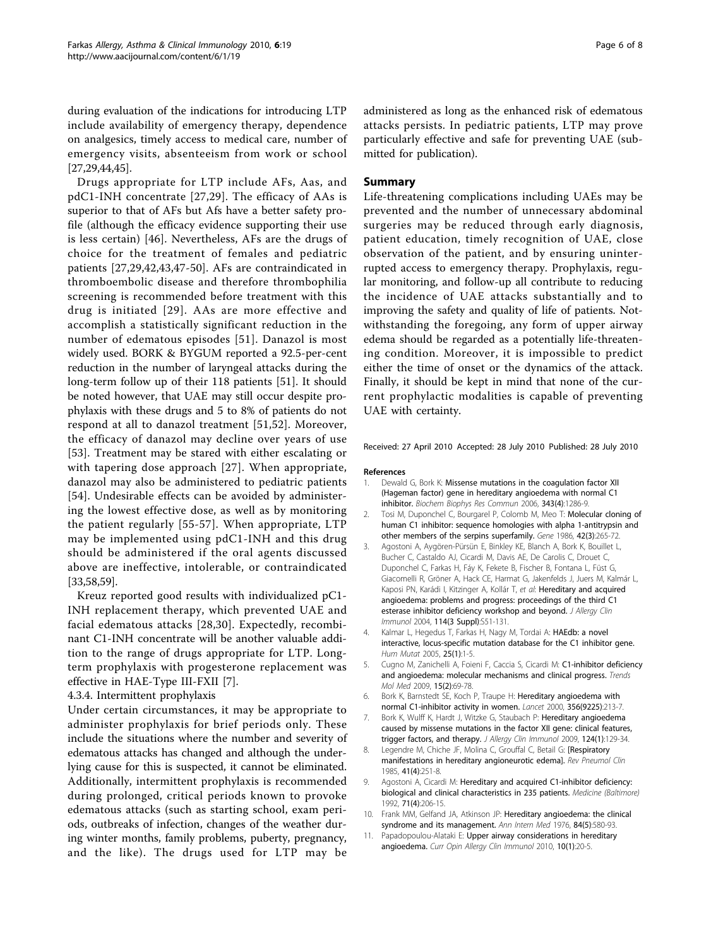<span id="page-5-0"></span>during evaluation of the indications for introducing LTP include availability of emergency therapy, dependence on analgesics, timely access to medical care, number of emergency visits, absenteeism from work or school [[27,29,44](#page-6-0),[45](#page-6-0)].

Drugs appropriate for LTP include AFs, Aas, and pdC1-INH concentrate [[27,29](#page-6-0)]. The efficacy of AAs is superior to that of AFs but Afs have a better safety profile (although the efficacy evidence supporting their use is less certain) [\[46](#page-6-0)]. Nevertheless, AFs are the drugs of choice for the treatment of females and pediatric patients [\[27](#page-6-0),[29,42,43](#page-6-0),[47-50](#page-6-0)]. AFs are contraindicated in thromboembolic disease and therefore thrombophilia screening is recommended before treatment with this drug is initiated [[29\]](#page-6-0). AAs are more effective and accomplish a statistically significant reduction in the number of edematous episodes [[51\]](#page-6-0). Danazol is most widely used. BORK & BYGUM reported a 92.5-per-cent reduction in the number of laryngeal attacks during the long-term follow up of their 118 patients [[51\]](#page-6-0). It should be noted however, that UAE may still occur despite prophylaxis with these drugs and 5 to 8% of patients do not respond at all to danazol treatment [\[51,52\]](#page-6-0). Moreover, the efficacy of danazol may decline over years of use [[53\]](#page-6-0). Treatment may be stared with either escalating or with tapering dose approach [[27](#page-6-0)]. When appropriate, danazol may also be administered to pediatric patients [[54](#page-6-0)]. Undesirable effects can be avoided by administering the lowest effective dose, as well as by monitoring the patient regularly [[55](#page-6-0)-[57](#page-6-0)]. When appropriate, LTP may be implemented using pdC1-INH and this drug should be administered if the oral agents discussed above are ineffective, intolerable, or contraindicated [[33,](#page-6-0)[58,59](#page-7-0)].

Kreuz reported good results with individualized pC1- INH replacement therapy, which prevented UAE and facial edematous attacks [\[28](#page-6-0),[30](#page-6-0)]. Expectedly, recombinant C1-INH concentrate will be another valuable addition to the range of drugs appropriate for LTP. Longterm prophylaxis with progesterone replacement was effective in HAE-Type III-FXII [7].

#### 4.3.4. Intermittent prophylaxis

Under certain circumstances, it may be appropriate to administer prophylaxis for brief periods only. These include the situations where the number and severity of edematous attacks has changed and although the underlying cause for this is suspected, it cannot be eliminated. Additionally, intermittent prophylaxis is recommended during prolonged, critical periods known to provoke edematous attacks (such as starting school, exam periods, outbreaks of infection, changes of the weather during winter months, family problems, puberty, pregnancy, and the like). The drugs used for LTP may be administered as long as the enhanced risk of edematous attacks persists. In pediatric patients, LTP may prove particularly effective and safe for preventing UAE (submitted for publication).

#### Summary

Life-threatening complications including UAEs may be prevented and the number of unnecessary abdominal surgeries may be reduced through early diagnosis, patient education, timely recognition of UAE, close observation of the patient, and by ensuring uninterrupted access to emergency therapy. Prophylaxis, regular monitoring, and follow-up all contribute to reducing the incidence of UAE attacks substantially and to improving the safety and quality of life of patients. Notwithstanding the foregoing, any form of upper airway edema should be regarded as a potentially life-threatening condition. Moreover, it is impossible to predict either the time of onset or the dynamics of the attack. Finally, it should be kept in mind that none of the current prophylactic modalities is capable of preventing UAE with certainty.

Received: 27 April 2010 Accepted: 28 July 2010 Published: 28 July 2010

#### References

- 1. Dewald G, Bork K: [Missense mutations in the coagulation factor XII](http://www.ncbi.nlm.nih.gov/pubmed/16638441?dopt=Abstract) [\(Hageman factor\) gene in hereditary angioedema with normal C1](http://www.ncbi.nlm.nih.gov/pubmed/16638441?dopt=Abstract) [inhibitor.](http://www.ncbi.nlm.nih.gov/pubmed/16638441?dopt=Abstract) Biochem Biophys Res Commun 2006, 343(4):1286-9.
- 2. Tosi M, Duponchel C, Bourgarel P, Colomb M, Meo T: [Molecular cloning of](http://www.ncbi.nlm.nih.gov/pubmed/3089875?dopt=Abstract) [human C1 inhibitor: sequence homologies with alpha 1-antitrypsin and](http://www.ncbi.nlm.nih.gov/pubmed/3089875?dopt=Abstract) [other members of the serpins superfamily.](http://www.ncbi.nlm.nih.gov/pubmed/3089875?dopt=Abstract) Gene 1986, 42(3):265-72.
- 3. Agostoni A, Aygören-Pürsün E, Binkley KE, Blanch A, Bork K, Bouillet L, Bucher C, Castaldo AJ, Cicardi M, Davis AE, De Carolis C, Drouet C, Duponchel C, Farkas H, Fáy K, Fekete B, Fischer B, Fontana L, Füst G, Giacomelli R, Gröner A, Hack CE, Harmat G, Jakenfelds J, Juers M, Kalmár L, Kaposi PN, Karádi I, Kitzinger A, Kollár T, et al: [Hereditary and acquired](http://www.ncbi.nlm.nih.gov/pubmed/15356535?dopt=Abstract) [angioedema: problems and progress: proceedings of the third C1](http://www.ncbi.nlm.nih.gov/pubmed/15356535?dopt=Abstract) [esterase inhibitor deficiency workshop and beyond.](http://www.ncbi.nlm.nih.gov/pubmed/15356535?dopt=Abstract) J Allergy Clin Immunol 2004, 114(3 Suppl):S51-131.
- 4. Kalmar L, Hegedus T, Farkas H, Nagy M, Tordai A: [HAEdb: a novel](http://www.ncbi.nlm.nih.gov/pubmed/15580551?dopt=Abstract) [interactive, locus-specific mutation database for the C1 inhibitor gene.](http://www.ncbi.nlm.nih.gov/pubmed/15580551?dopt=Abstract) Hum Mutat 2005, 25(1):1-5.
- 5. Cugno M, Zanichelli A, Foieni F, Caccia S, Cicardi M: [C1-inhibitor deficiency](http://www.ncbi.nlm.nih.gov/pubmed/19162547?dopt=Abstract) [and angioedema: molecular mechanisms and clinical progress.](http://www.ncbi.nlm.nih.gov/pubmed/19162547?dopt=Abstract) Trends Mol Med 2009, 15(2):69-78.
- 6. Bork K, Barnstedt SE, Koch P, Traupe H: [Hereditary angioedema with](http://www.ncbi.nlm.nih.gov/pubmed/10963200?dopt=Abstract) [normal C1-inhibitor activity in women.](http://www.ncbi.nlm.nih.gov/pubmed/10963200?dopt=Abstract) Lancet 2000, 356(9225):213-7.
- 7. Bork K, Wulff K, Hardt J, Witzke G, Staubach P: [Hereditary angioedema](http://www.ncbi.nlm.nih.gov/pubmed/19477491?dopt=Abstract) [caused by missense mutations in the factor XII gene: clinical features,](http://www.ncbi.nlm.nih.gov/pubmed/19477491?dopt=Abstract) [trigger factors, and therapy.](http://www.ncbi.nlm.nih.gov/pubmed/19477491?dopt=Abstract) J Allergy Clin Immunol 2009, 124(1):129-34.
- 8. Legendre M, Chiche JF, Molina C, Grouffal C, Betail G: [\[Respiratory](http://www.ncbi.nlm.nih.gov/pubmed/4081477?dopt=Abstract) [manifestations in hereditary angioneurotic edema\].](http://www.ncbi.nlm.nih.gov/pubmed/4081477?dopt=Abstract) Rev Pneumol Clin 1985, 41(4):251-8.
- 9. Agostoni A, Cicardi M: [Hereditary and acquired C1-inhibitor deficiency:](http://www.ncbi.nlm.nih.gov/pubmed/1518394?dopt=Abstract) [biological and clinical characteristics in 235 patients.](http://www.ncbi.nlm.nih.gov/pubmed/1518394?dopt=Abstract) Medicine (Baltimore) 1992, 71(4):206-15.
- 10. Frank MM, Gelfand JA, Atkinson JP: [Hereditary angioedema: the clinical](http://www.ncbi.nlm.nih.gov/pubmed/1275365?dopt=Abstract) [syndrome and its management.](http://www.ncbi.nlm.nih.gov/pubmed/1275365?dopt=Abstract) Ann Intern Med 1976, 84(5):580-93.
- 11. Papadopoulou-Alataki E: [Upper airway considerations in hereditary](http://www.ncbi.nlm.nih.gov/pubmed/19949324?dopt=Abstract) [angioedema.](http://www.ncbi.nlm.nih.gov/pubmed/19949324?dopt=Abstract) Curr Opin Allergy Clin Immunol 2010, 10(1):20-5.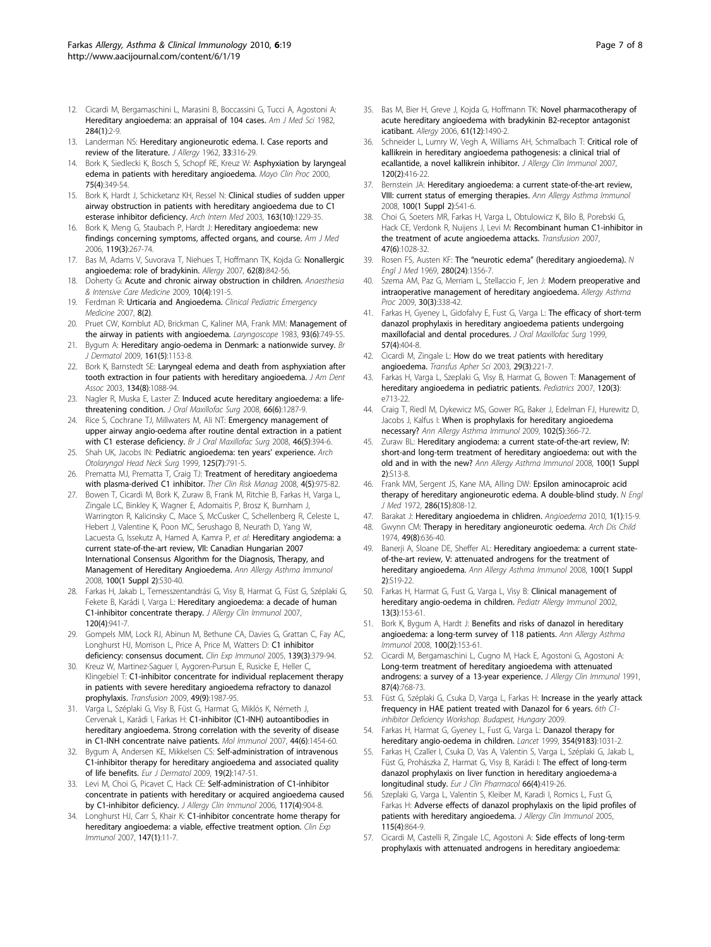- <span id="page-6-0"></span>12. Cicardi M, Bergamaschini L, Marasini B, Boccassini G, Tucci A, Agostoni A: [Hereditary angioedema: an appraisal of 104 cases.](http://www.ncbi.nlm.nih.gov/pubmed/7091182?dopt=Abstract) Am J Med Sci 1982, 284(1):2-9.
- 13. Landerman NS: [Hereditary angioneurotic edema. I. Case reports and](http://www.ncbi.nlm.nih.gov/pubmed/14461961?dopt=Abstract) [review of the literature.](http://www.ncbi.nlm.nih.gov/pubmed/14461961?dopt=Abstract) J Allergy 1962, 33:316-29.
- 14. Bork K, Siedlecki K, Bosch S, Schopf RE, Kreuz W: [Asphyxiation by laryngeal](http://www.ncbi.nlm.nih.gov/pubmed/10761488?dopt=Abstract) [edema in patients with hereditary angioedema.](http://www.ncbi.nlm.nih.gov/pubmed/10761488?dopt=Abstract) Mayo Clin Proc 2000, 75(4):349-54.
- 15. Bork K, Hardt J, Schicketanz KH, Ressel N: [Clinical studies of sudden upper](http://www.ncbi.nlm.nih.gov/pubmed/12767961?dopt=Abstract) [airway obstruction in patients with hereditary angioedema due to C1](http://www.ncbi.nlm.nih.gov/pubmed/12767961?dopt=Abstract) [esterase inhibitor deficiency.](http://www.ncbi.nlm.nih.gov/pubmed/12767961?dopt=Abstract) Arch Intern Med 2003, 163(10):1229-35.
- 16. Bork K, Meng G, Staubach P, Hardt J: [Hereditary angioedema: new](http://www.ncbi.nlm.nih.gov/pubmed/16490473?dopt=Abstract) [findings concerning symptoms, affected organs, and course.](http://www.ncbi.nlm.nih.gov/pubmed/16490473?dopt=Abstract) Am J Med 2006, 119(3):267-74.
- 17. Bas M, Adams V, Suvorava T, Niehues T, Hoffmann TK, Kojda G: [Nonallergic](http://www.ncbi.nlm.nih.gov/pubmed/17620062?dopt=Abstract) [angioedema: role of bradykinin.](http://www.ncbi.nlm.nih.gov/pubmed/17620062?dopt=Abstract) Allergy 2007, 62(8):842-56.
- 18. Doherty G: Acute and chronic airway obstruction in children. Anaesthesia & Intensive Care Medicine 2009, 10(4):191-5.
- 19. Ferdman R: [Urticaria and Angioedema.](http://www.ncbi.nlm.nih.gov/pubmed/18438449?dopt=Abstract) Clinical Pediatric Emergency Medicine 2007, 8(2).
- 20. Pruet CW, Kornblut AD, Brickman C, Kaliner MA, Frank MM: [Management of](http://www.ncbi.nlm.nih.gov/pubmed/6134220?dopt=Abstract) [the airway in patients with angioedema.](http://www.ncbi.nlm.nih.gov/pubmed/6134220?dopt=Abstract) Laryngoscope 1983, 93(6):749-55.
- 21. Bygum A: [Hereditary angio-oedema in Denmark: a nationwide survey.](http://www.ncbi.nlm.nih.gov/pubmed/19709101?dopt=Abstract) Br J Dermatol 2009, 161(5):1153-8.
- 22. Bork K, Barnstedt SE: [Laryngeal edema and death from asphyxiation after](http://www.ncbi.nlm.nih.gov/pubmed/12956349?dopt=Abstract) [tooth extraction in four patients with hereditary angioedema.](http://www.ncbi.nlm.nih.gov/pubmed/12956349?dopt=Abstract) J Am Dent Assoc 2003, 134(8):1088-94.
- 23. Nagler R, Muska E, Laster Z: [Induced acute hereditary angioedema: a life](http://www.ncbi.nlm.nih.gov/pubmed/18486799?dopt=Abstract)[threatening condition.](http://www.ncbi.nlm.nih.gov/pubmed/18486799?dopt=Abstract) J Oral Maxillofac Surg 2008, 66(6):1287-9.
- 24. Rice S, Cochrane TJ, Millwaters M, Ali NT: [Emergency management of](http://www.ncbi.nlm.nih.gov/pubmed/18063242?dopt=Abstract) [upper airway angio-oedema after routine dental extraction in a patient](http://www.ncbi.nlm.nih.gov/pubmed/18063242?dopt=Abstract) [with C1 esterase deficiency.](http://www.ncbi.nlm.nih.gov/pubmed/18063242?dopt=Abstract) Br J Oral Maxillofac Surg 2008, 46(5):394-6.
- 25. Shah UK, Jacobs IN: [Pediatric angioedema: ten years](http://www.ncbi.nlm.nih.gov/pubmed/10406319?dopt=Abstract)' experience. Arch Otolaryngol Head Neck Surg 1999, 125(7):791-5.
- 26. Prematta MJ, Prematta T, Craig TJ: [Treatment of hereditary angioedema](http://www.ncbi.nlm.nih.gov/pubmed/19209279?dopt=Abstract) [with plasma-derived C1 inhibitor.](http://www.ncbi.nlm.nih.gov/pubmed/19209279?dopt=Abstract) Ther Clin Risk Manag 2008, 4(5):975-82.
- 27. Bowen T, Cicardi M, Bork K, Zuraw B, Frank M, Ritchie B, Farkas H, Varga L, Zingale LC, Binkley K, Wagner E, Adomaitis P, Brosz K, Burnham J, Warrington R, Kalicinsky C, Mace S, McCusker C, Schellenberg R, Celeste L, Hebert J, Valentine K, Poon MC, Serushago B, Neurath D, Yang W, Lacuesta G, Issekutz A, Hamed A, Kamra P, et al: [Hereditary angiodema: a](http://www.ncbi.nlm.nih.gov/pubmed/18220150?dopt=Abstract) [current state-of-the-art review, VII: Canadian Hungarian 2007](http://www.ncbi.nlm.nih.gov/pubmed/18220150?dopt=Abstract) [International Consensus Algorithm for the Diagnosis, Therapy, and](http://www.ncbi.nlm.nih.gov/pubmed/18220150?dopt=Abstract) [Management of Hereditary Angioedema.](http://www.ncbi.nlm.nih.gov/pubmed/18220150?dopt=Abstract) Ann Allergy Asthma Immunol 2008, 100(1 Suppl 2):S30-40.
- 28. Farkas H, Jakab L, Temesszentandrási G, Visy B, Harmat G, Füst G, Széplaki G, Fekete B, Karádi I, Varga L: [Hereditary angioedema: a decade of human](http://www.ncbi.nlm.nih.gov/pubmed/17761272?dopt=Abstract) [C1-inhibitor concentrate therapy.](http://www.ncbi.nlm.nih.gov/pubmed/17761272?dopt=Abstract) J Allergy Clin Immunol 2007, 120(4):941-7.
- 29. Gompels MM, Lock RJ, Abinun M, Bethune CA, Davies G, Grattan C, Fay AC, Longhurst HJ, Morrison L, Price A, Price M, Watters D: [C1 inhibitor](http://www.ncbi.nlm.nih.gov/pubmed/15730382?dopt=Abstract) [deficiency: consensus document.](http://www.ncbi.nlm.nih.gov/pubmed/15730382?dopt=Abstract) Clin Exp Immunol 2005, 139(3):379-94.
- 30. Kreuz W, Martinez-Saguer I, Aygoren-Pursun E, Rusicke E, Heller C, Klingebiel T: [C1-inhibitor concentrate for individual replacement therapy](http://www.ncbi.nlm.nih.gov/pubmed/19497056?dopt=Abstract) [in patients with severe hereditary angioedema refractory to danazol](http://www.ncbi.nlm.nih.gov/pubmed/19497056?dopt=Abstract) [prophylaxis.](http://www.ncbi.nlm.nih.gov/pubmed/19497056?dopt=Abstract) Transfusion 2009, 49(9):1987-95.
- 31. Varga L, Széplaki G, Visy B, Füst G, Harmat G, Miklós K, Németh J, Cervenak L, Karádi I, Farkas H: [C1-inhibitor \(C1-INH\) autoantibodies in](http://www.ncbi.nlm.nih.gov/pubmed/16750855?dopt=Abstract) [hereditary angioedema. Strong correlation with the severity of disease](http://www.ncbi.nlm.nih.gov/pubmed/16750855?dopt=Abstract) [in C1-INH concentrate naive patients.](http://www.ncbi.nlm.nih.gov/pubmed/16750855?dopt=Abstract) Mol Immunol 2007, 44(6):1454-60.
- 32. Bygum A, Andersen KE, Mikkelsen CS: [Self-administration of intravenous](http://www.ncbi.nlm.nih.gov/pubmed/19264579?dopt=Abstract) [C1-inhibitor therapy for hereditary angioedema and associated quality](http://www.ncbi.nlm.nih.gov/pubmed/19264579?dopt=Abstract) [of life benefits.](http://www.ncbi.nlm.nih.gov/pubmed/19264579?dopt=Abstract) Eur J Dermatol 2009, 19(2):147-51.
- 33. Levi M, Choi G, Picavet C, Hack CE: [Self-administration of C1-inhibitor](http://www.ncbi.nlm.nih.gov/pubmed/16630950?dopt=Abstract) [concentrate in patients with hereditary or acquired angioedema caused](http://www.ncbi.nlm.nih.gov/pubmed/16630950?dopt=Abstract) [by C1-inhibitor deficiency.](http://www.ncbi.nlm.nih.gov/pubmed/16630950?dopt=Abstract) J Allergy Clin Immunol 2006, 117(4):904-8.
- 34. Longhurst HJ, Carr S, Khair K: [C1-inhibitor concentrate home therapy for](http://www.ncbi.nlm.nih.gov/pubmed/17177958?dopt=Abstract) [hereditary angioedema: a viable, effective treatment option.](http://www.ncbi.nlm.nih.gov/pubmed/17177958?dopt=Abstract) Clin Exp Immunol 2007, 147(1):11-7.
- 35. Bas M, Bier H, Greve J, Koida G, Hoffmann TK: [Novel pharmacotherapy of](http://www.ncbi.nlm.nih.gov/pubmed/17073887?dopt=Abstract) [acute hereditary angioedema with bradykinin B2-receptor antagonist](http://www.ncbi.nlm.nih.gov/pubmed/17073887?dopt=Abstract) [icatibant.](http://www.ncbi.nlm.nih.gov/pubmed/17073887?dopt=Abstract) Allergy 2006, 61(12):1490-2.
- 36. Schneider L, Lumry W, Vegh A, Williams AH, Schmalbach T: [Critical role of](http://www.ncbi.nlm.nih.gov/pubmed/17559913?dopt=Abstract) [kallikrein in hereditary angioedema pathogenesis: a clinical trial of](http://www.ncbi.nlm.nih.gov/pubmed/17559913?dopt=Abstract) [ecallantide, a novel kallikrein inhibitor.](http://www.ncbi.nlm.nih.gov/pubmed/17559913?dopt=Abstract) J Allergy Clin Immunol 2007, 120(2):416-22.
- 37. Bernstein JA: [Hereditary angioedema: a current state-of-the-art review,](http://www.ncbi.nlm.nih.gov/pubmed/18220151?dopt=Abstract) [VIII: current status of emerging therapies.](http://www.ncbi.nlm.nih.gov/pubmed/18220151?dopt=Abstract) Ann Allergy Asthma Immunol 2008, 100(1 Suppl 2):S41-6.
- 38. Choi G, Soeters MR, Farkas H, Varga L, Obtulowicz K, Bilo B, Porebski G, Hack CE, Verdonk R, Nuijens J, Levi M: [Recombinant human C1-inhibitor in](http://www.ncbi.nlm.nih.gov/pubmed/17524093?dopt=Abstract) [the treatment of acute angioedema attacks.](http://www.ncbi.nlm.nih.gov/pubmed/17524093?dopt=Abstract) Transfusion 2007, 47(6):1028-32.
- 39. Rosen FS, Austen KF: The "neurotic edema" [\(hereditary angioedema\).](http://www.ncbi.nlm.nih.gov/pubmed/4890565?dopt=Abstract) N Engl J Med 1969, 280(24):1356-7.
- 40. Szema AM, Paz G, Merriam L, Stellaccio F, Jen J: [Modern preoperative and](http://www.ncbi.nlm.nih.gov/pubmed/19368763?dopt=Abstract) [intraoperative management of hereditary angioedema.](http://www.ncbi.nlm.nih.gov/pubmed/19368763?dopt=Abstract) Allergy Asthma Proc 2009, 30(3):338-42.
- 41. Farkas H, Gyeney L, Gidofalvy E, Fust G, Varga L: [The efficacy of short-term](http://www.ncbi.nlm.nih.gov/pubmed/10199492?dopt=Abstract) [danazol prophylaxis in hereditary angioedema patients undergoing](http://www.ncbi.nlm.nih.gov/pubmed/10199492?dopt=Abstract) [maxillofacial and dental procedures.](http://www.ncbi.nlm.nih.gov/pubmed/10199492?dopt=Abstract) J Oral Maxillofac Surg 1999, 57(4):404-8.
- 42. Cicardi M, Zingale L: [How do we treat patients with hereditary](http://www.ncbi.nlm.nih.gov/pubmed/14572813?dopt=Abstract) [angioedema.](http://www.ncbi.nlm.nih.gov/pubmed/14572813?dopt=Abstract) Transfus Apher Sci 2003, 29(3):221-7.
- 43. Farkas H, Varga L, Szeplaki G, Visy B, Harmat G, Bowen T: [Management of](http://www.ncbi.nlm.nih.gov/pubmed/17724112?dopt=Abstract) [hereditary angioedema in pediatric patients.](http://www.ncbi.nlm.nih.gov/pubmed/17724112?dopt=Abstract) Pediatrics 2007, 120(3): e713-22.
- 44. Craig T, Riedl M, Dykewicz MS, Gower RG, Baker J, Edelman FJ, Hurewitz D, Jacobs J, Kalfus I: [When is prophylaxis for hereditary angioedema](http://www.ncbi.nlm.nih.gov/pubmed/19492656?dopt=Abstract) [necessary?](http://www.ncbi.nlm.nih.gov/pubmed/19492656?dopt=Abstract) Ann Allergy Asthma Immunol 2009, 102(5):366-72.
- 45. Zuraw BL: [Hereditary angiodema: a current state-of-the-art review, IV:](http://www.ncbi.nlm.nih.gov/pubmed/18220147?dopt=Abstract) [short-and long-term treatment of hereditary angioedema: out with the](http://www.ncbi.nlm.nih.gov/pubmed/18220147?dopt=Abstract) [old and in with the new?](http://www.ncbi.nlm.nih.gov/pubmed/18220147?dopt=Abstract) Ann Allergy Asthma Immunol 2008, 100(1 Suppl 2):S13-8.
- 46. Frank MM, Sergent JS, Kane MA, Alling DW: [Epsilon aminocaproic acid](http://www.ncbi.nlm.nih.gov/pubmed/4551861?dopt=Abstract) [therapy of hereditary angioneurotic edema. A double-blind study.](http://www.ncbi.nlm.nih.gov/pubmed/4551861?dopt=Abstract) N Engl J Med 1972, 286(15):808-12.
- Barakat J: Hereditary angioedema in chlidren. Angioedema 2010, 1(1):15-9.
- 48. Gwynn CM: [Therapy in hereditary angioneurotic oedema.](http://www.ncbi.nlm.nih.gov/pubmed/4213636?dopt=Abstract) Arch Dis Child 1974, 49(8):636-40.
- Banerji A, Sloane DE, Sheffer AL: [Hereditary angioedema: a current state](http://www.ncbi.nlm.nih.gov/pubmed/18220148?dopt=Abstract)[of-the-art review, V: attenuated androgens for the treatment of](http://www.ncbi.nlm.nih.gov/pubmed/18220148?dopt=Abstract) [hereditary angioedema.](http://www.ncbi.nlm.nih.gov/pubmed/18220148?dopt=Abstract) Ann Allergy Asthma Immunol 2008, 100(1 Suppl 2):S19-22.
- 50. Farkas H, Harmat G, Fust G, Varga L, Visy B: [Clinical management of](http://www.ncbi.nlm.nih.gov/pubmed/12144636?dopt=Abstract) [hereditary angio-oedema in children.](http://www.ncbi.nlm.nih.gov/pubmed/12144636?dopt=Abstract) Pediatr Allergy Immunol 2002, 13(3):153-61.
- 51. Bork K, Bygum A, Hardt J: [Benefits and risks of danazol in hereditary](http://www.ncbi.nlm.nih.gov/pubmed/18320917?dopt=Abstract) [angioedema: a long-term survey of 118 patients.](http://www.ncbi.nlm.nih.gov/pubmed/18320917?dopt=Abstract) Ann Allergy Asthma Immunol 2008, 100(2):153-61.
- 52. Cicardi M, Bergamaschini L, Cugno M, Hack E, Agostoni G, Agostoni A: [Long-term treatment of hereditary angioedema with attenuated](http://www.ncbi.nlm.nih.gov/pubmed/2013670?dopt=Abstract) [androgens: a survey of a 13-year experience.](http://www.ncbi.nlm.nih.gov/pubmed/2013670?dopt=Abstract) J Allergy Clin Immunol 1991, 87(4):768-73.
- 53. Füst G, Széplaki G, Csuka D, Varga L, Farkas H: Increase in the yearly attack frequency in HAE patient treated with Danazol for 6 years. 6th C1 inhibitor Deficiency Workshop. Budapest, Hungary 2009.
- 54. Farkas H, Harmat G, Gyeney L, Fust G, Varga L: [Danazol therapy for](http://www.ncbi.nlm.nih.gov/pubmed/10501389?dopt=Abstract) [hereditary angio-oedema in children.](http://www.ncbi.nlm.nih.gov/pubmed/10501389?dopt=Abstract) Lancet 1999, 354(9183):1031-2.
- 55. Farkas H, Czaller I, Csuka D, Vas A, Valentin S, Varga L, Széplaki G, Jakab L, Füst G, Prohászka Z, Harmat G, Visy B, Karádi I: [The effect of long-term](http://www.ncbi.nlm.nih.gov/pubmed/20024535?dopt=Abstract) [danazol prophylaxis on liver function in hereditary angioedema-a](http://www.ncbi.nlm.nih.gov/pubmed/20024535?dopt=Abstract) [longitudinal study.](http://www.ncbi.nlm.nih.gov/pubmed/20024535?dopt=Abstract) Eur J Clin Pharmacol 66(4):419-26.
- Szeplaki G, Varga L, Valentin S, Kleiber M, Karadi I, Romics L, Fust G, Farkas H: [Adverse effects of danazol prophylaxis on the lipid profiles of](http://www.ncbi.nlm.nih.gov/pubmed/15806011?dopt=Abstract) [patients with hereditary angioedema.](http://www.ncbi.nlm.nih.gov/pubmed/15806011?dopt=Abstract) J Allergy Clin Immunol 2005, 115(4):864-9.
- 57. Cicardi M, Castelli R, Zingale LC, Agostoni A: [Side effects of long-term](http://www.ncbi.nlm.nih.gov/pubmed/9042044?dopt=Abstract) [prophylaxis with attenuated androgens in hereditary angioedema:](http://www.ncbi.nlm.nih.gov/pubmed/9042044?dopt=Abstract)